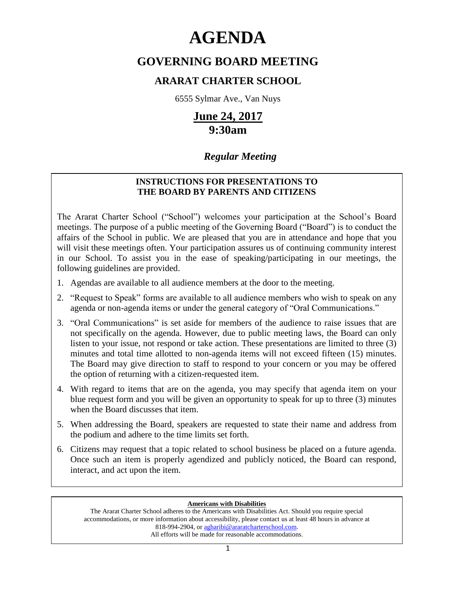# **AGENDA**

# **GOVERNING BOARD MEETING**

### **ARARAT CHARTER SCHOOL**

6555 Sylmar Ave., Van Nuys

# **June 24, 2017 9:30am**

## *Regular Meeting*

### **INSTRUCTIONS FOR PRESENTATIONS TO THE BOARD BY PARENTS AND CITIZENS**

The Ararat Charter School ("School") welcomes your participation at the School's Board meetings. The purpose of a public meeting of the Governing Board ("Board") is to conduct the affairs of the School in public. We are pleased that you are in attendance and hope that you will visit these meetings often. Your participation assures us of continuing community interest in our School. To assist you in the ease of speaking/participating in our meetings, the following guidelines are provided.

- 1. Agendas are available to all audience members at the door to the meeting.
- 2. "Request to Speak" forms are available to all audience members who wish to speak on any agenda or non-agenda items or under the general category of "Oral Communications."
- 3. "Oral Communications" is set aside for members of the audience to raise issues that are not specifically on the agenda. However, due to public meeting laws, the Board can only listen to your issue, not respond or take action. These presentations are limited to three (3) minutes and total time allotted to non-agenda items will not exceed fifteen (15) minutes. The Board may give direction to staff to respond to your concern or you may be offered the option of returning with a citizen-requested item.
- 4. With regard to items that are on the agenda, you may specify that agenda item on your blue request form and you will be given an opportunity to speak for up to three (3) minutes when the Board discusses that item.
- 5. When addressing the Board, speakers are requested to state their name and address from the podium and adhere to the time limits set forth.
- 6. Citizens may request that a topic related to school business be placed on a future agenda. Once such an item is properly agendized and publicly noticed, the Board can respond, interact, and act upon the item.

#### **Americans with Disabilities**

The Ararat Charter School adheres to the Americans with Disabilities Act. Should you require special accommodations, or more information about accessibility, please contact us at least 48 hours in advance at 818-994-2904, or [agharibi@araratcharterschool.com.](mailto:agharibi@araratcharterschool.com)  All efforts will be made for reasonable accommodations.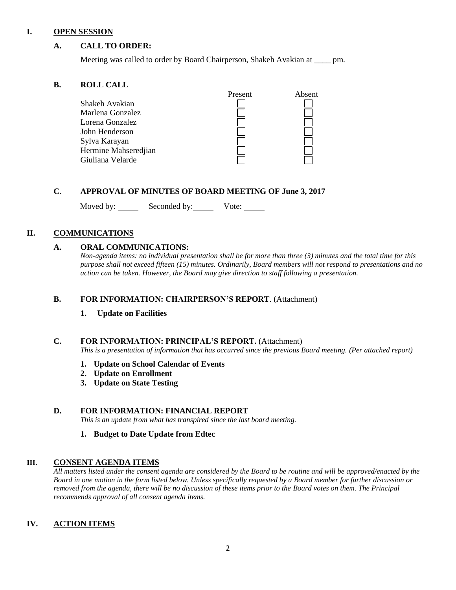#### **I. OPEN SESSION**

#### **A. CALL TO ORDER:**

Meeting was called to order by Board Chairperson, Shakeh Avakian at \_\_\_\_ pm.

#### **B. ROLL CALL**

|                      | Present | Absent |
|----------------------|---------|--------|
| Shakeh Avakian       |         |        |
| Marlena Gonzalez     |         |        |
| Lorena Gonzalez      |         |        |
| John Henderson       |         |        |
| Sylva Karayan        |         |        |
| Hermine Mahseredjian |         |        |
| Giuliana Velarde     |         |        |

#### **C. APPROVAL OF MINUTES OF BOARD MEETING OF June 3, 2017**

Moved by: Seconded by: Vote: Vote:

#### **II. COMMUNICATIONS**

#### **A. ORAL COMMUNICATIONS:**

*Non-agenda items: no individual presentation shall be for more than three (3) minutes and the total time for this purpose shall not exceed fifteen (15) minutes. Ordinarily, Board members will not respond to presentations and no action can be taken. However, the Board may give direction to staff following a presentation.*

#### **B. FOR INFORMATION: CHAIRPERSON'S REPORT**. (Attachment)

**1. Update on Facilities**

#### **C. FOR INFORMATION: PRINCIPAL'S REPORT.** (Attachment)

*This is a presentation of information that has occurred since the previous Board meeting. (Per attached report)*

- **1. Update on School Calendar of Events**
- **2. Update on Enrollment**
- **3. Update on State Testing**

#### **D. FOR INFORMATION: FINANCIAL REPORT**

*This is an update from what has transpired since the last board meeting.* 

**1. Budget to Date Update from Edtec**

#### **III. CONSENT AGENDA ITEMS**

*All matters listed under the consent agenda are considered by the Board to be routine and will be approved/enacted by the Board in one motion in the form listed below. Unless specifically requested by a Board member for further discussion or removed from the agenda, there will be no discussion of these items prior to the Board votes on them. The Principal recommends approval of all consent agenda items.*

#### **IV. ACTION ITEMS**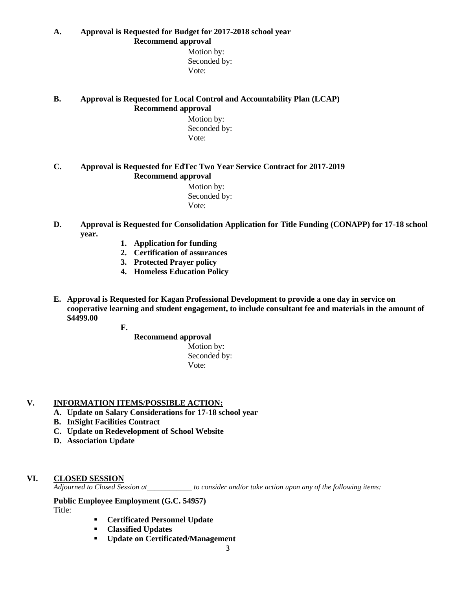**A. Approval is Requested for Budget for 2017-2018 school year Recommend approval**

> Motion by: Seconded by: Vote:

#### **B. Approval is Requested for Local Control and Accountability Plan (LCAP) Recommend approval**

 Motion by: Seconded by: Vote:

#### **C. Approval is Requested for EdTec Two Year Service Contract for 2017-2019 Recommend approval**

 Motion by: Seconded by: Vote:

- **D. Approval is Requested for Consolidation Application for Title Funding (CONAPP) for 17-18 school year.**
	- **1. Application for funding**
	- **2. Certification of assurances**
	- **3. Protected Prayer policy**
	- **4. Homeless Education Policy**
- **E. Approval is Requested for Kagan Professional Development to provide a one day in service on cooperative learning and student engagement, to include consultant fee and materials in the amount of \$4499.00**
	- **F.**
- **Recommend approval** Motion by: Seconded by: Vote:

#### **V. INFORMATION ITEMS**/**POSSIBLE ACTION:**

- **A. Update on Salary Considerations for 17-18 school year**
- **B. InSight Facilities Contract**
- **C. Update on Redevelopment of School Website**
- **D. Association Update**

#### **VI. CLOSED SESSION**

*Adjourned to Closed Session at\_\_\_\_\_\_\_\_\_\_\_\_ to consider and/or take action upon any of the following items:*

**Public Employee Employment (G.C. 54957)**

Title:

- **Certificated Personnel Update**
- **Classified Updates**
- **Update on Certificated/Management**